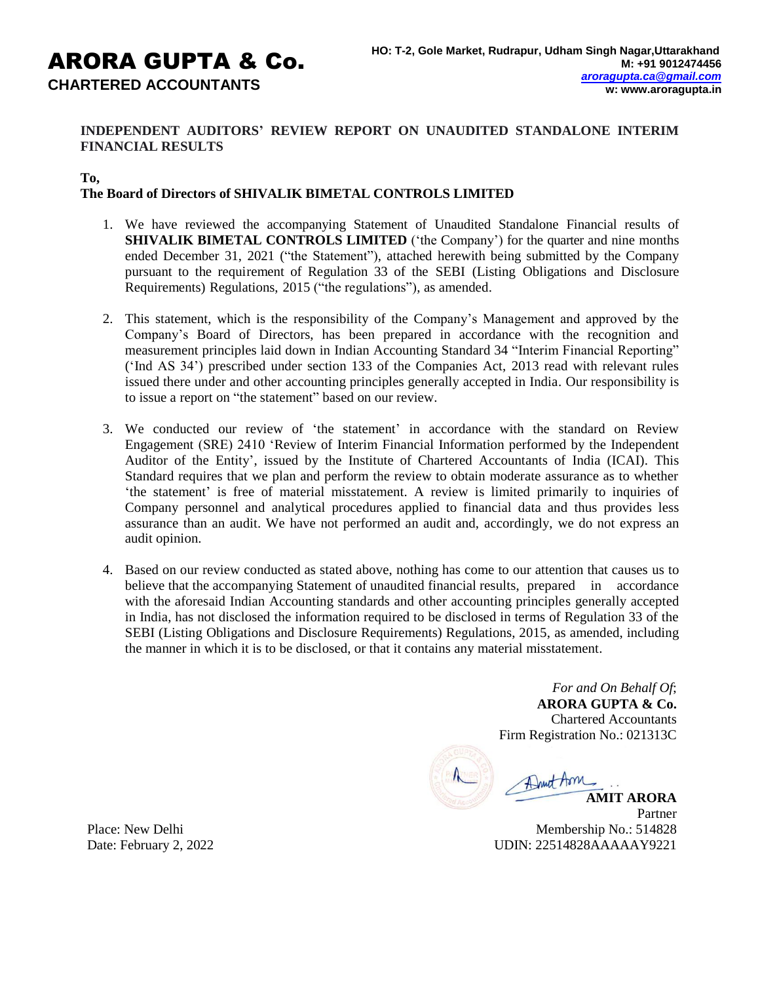# ARORA GUPTA & Co. **CHARTERED ACCOUNTANTS**

# **INDEPENDENT AUDITORS' REVIEW REPORT ON UNAUDITED STANDALONE INTERIM FINANCIAL RESULTS**

## **To,**

## **The Board of Directors of SHIVALIK BIMETAL CONTROLS LIMITED**

- 1. We have reviewed the accompanying Statement of Unaudited Standalone Financial results of **SHIVALIK BIMETAL CONTROLS LIMITED** ('the Company') for the quarter and nine months ended December 31, 2021 ("the Statement"), attached herewith being submitted by the Company pursuant to the requirement of Regulation 33 of the SEBI (Listing Obligations and Disclosure Requirements) Regulations, 2015 ("the regulations"), as amended.
- 2. This statement, which is the responsibility of the Company's Management and approved by the Company's Board of Directors, has been prepared in accordance with the recognition and measurement principles laid down in Indian Accounting Standard 34 "Interim Financial Reporting" ('Ind AS 34') prescribed under section 133 of the Companies Act, 2013 read with relevant rules issued there under and other accounting principles generally accepted in India. Our responsibility is to issue a report on "the statement" based on our review.
- 3. We conducted our review of 'the statement' in accordance with the standard on Review Engagement (SRE) 2410 'Review of Interim Financial Information performed by the Independent Auditor of the Entity', issued by the Institute of Chartered Accountants of India (ICAI). This Standard requires that we plan and perform the review to obtain moderate assurance as to whether 'the statement' is free of material misstatement. A review is limited primarily to inquiries of Company personnel and analytical procedures applied to financial data and thus provides less assurance than an audit. We have not performed an audit and, accordingly, we do not express an audit opinion.
- 4. Based on our review conducted as stated above, nothing has come to our attention that causes us to believe that the accompanying Statement of unaudited financial results, prepared in accordance with the aforesaid Indian Accounting standards and other accounting principles generally accepted in India, has not disclosed the information required to be disclosed in terms of Regulation 33 of the SEBI (Listing Obligations and Disclosure Requirements) Regulations, 2015, as amended, including the manner in which it is to be disclosed, or that it contains any material misstatement.

*For and On Behalf Of*; **ARORA GUPTA & Co.** Chartered Accountants Firm Registration No.: 021313C

Druct Arm **AMIT ARORA**

Partner Membership No.: 514828 UDIN: 22514828AAAAAY9221

Place: New Delhi Date: February 2, 2022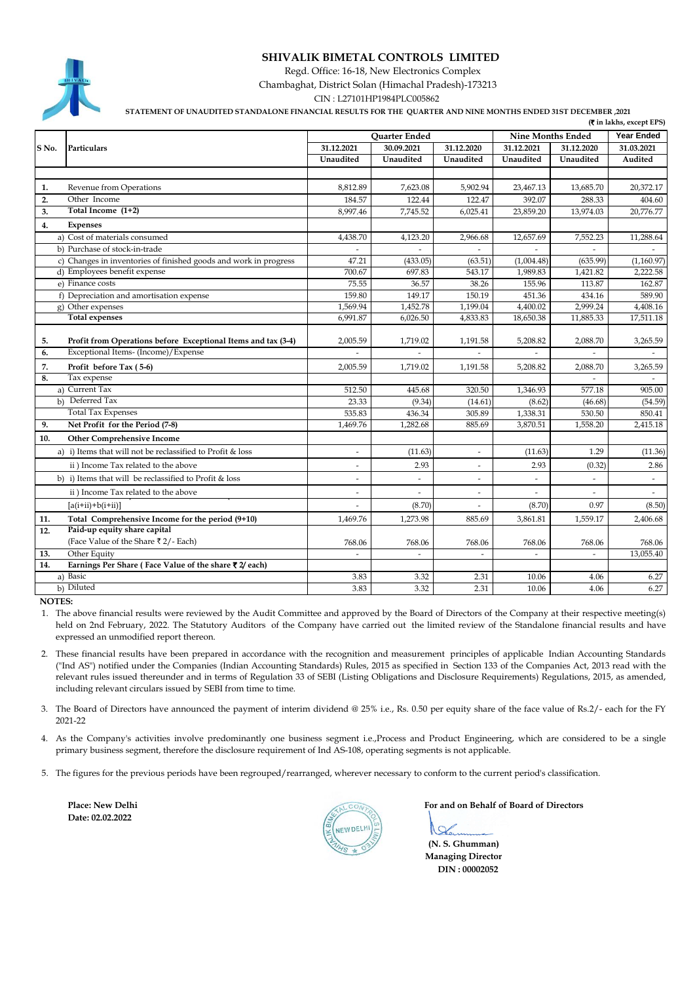## **SHIVALIK BIMETAL CONTROLS LIMITED**

 Regd. Office: 16-18, New Electronics Complex Chambaghat, District Solan (Himachal Pradesh)-173213

CIN : L27101HP1984PLC005862

 **STATEMENT OF UNAUDITED STANDALONE FINANCIAL RESULTS FOR THE QUARTER AND NINE MONTHS ENDED 31ST DECEMBER ,2021**

| (₹ in lakhs, except EPS) |                                                                  |                          |                |               |                          |                          |                |  |
|--------------------------|------------------------------------------------------------------|--------------------------|----------------|---------------|--------------------------|--------------------------|----------------|--|
|                          |                                                                  |                          | Quarter Ended  |               |                          | <b>Nine Months Ended</b> |                |  |
| S No.                    | Particulars                                                      | 31.12.2021               | 30.09.2021     | 31.12.2020    | 31.12.2021               | 31.12.2020               | 31.03.2021     |  |
|                          |                                                                  | Unaudited                | Unaudited      | Unaudited     | Unaudited                | Unaudited                | Audited        |  |
|                          |                                                                  |                          |                |               |                          |                          |                |  |
| 1.                       | Revenue from Operations                                          | 8,812.89                 | 7,623.08       | 5,902.94      | 23,467.13                | 13,685.70                | 20,372.17      |  |
| 2.                       | Other Income                                                     | 184.57                   | 122.44         | 122.47        | 392.07                   | 288.33                   | 404.60         |  |
| 3.                       | Total Income (1+2)                                               | 8,997.46                 | 7,745.52       | 6,025.41      | 23,859.20                | 13,974.03                | 20,776.77      |  |
| 4.                       | <b>Expenses</b>                                                  |                          |                |               |                          |                          |                |  |
|                          | a) Cost of materials consumed                                    | 4,438.70                 | 4,123.20       | 2,966.68      | 12,657.69                | 7,552.23                 | 11,288.64      |  |
|                          | b) Purchase of stock-in-trade                                    |                          | $\overline{a}$ | ä,            | $\overline{a}$           | $\overline{a}$           |                |  |
|                          | c) Changes in inventories of finished goods and work in progress | 47.21                    | (433.05)       | (63.51)       | (1,004.48)               | (635.99)                 | (1,160.97)     |  |
|                          | d) Employees benefit expense                                     | 700.67                   | 697.83         | 543.17        | 1,989.83                 | 1.421.82                 | 2.222.58       |  |
|                          | e) Finance costs                                                 | 75.55                    | 36.57          | 38.26         | 155.96                   | 113.87                   | 162.87         |  |
|                          | f) Depreciation and amortisation expense                         | 159.80                   | 149.17         | 150.19        | 451.36                   | 434.16                   | 589.90         |  |
|                          | g) Other expenses                                                | 1,569.94                 | 1,452.78       | 1,199.04      | 4,400.02                 | 2,999.24                 | 4,408.16       |  |
|                          | <b>Total expenses</b>                                            | 6,991.87                 | 6,026.50       | 4,833.83      | 18,650.38                | 11,885.33                | 17,511.18      |  |
|                          |                                                                  |                          |                |               |                          |                          |                |  |
| 5.                       | Profit from Operations before Exceptional Items and tax (3-4)    | 2,005.59                 | 1,719.02       | 1,191.58      | 5,208.82                 | 2,088.70                 | 3,265.59       |  |
| 6.                       | Exceptional Items- (Income)/Expense                              |                          |                |               |                          |                          |                |  |
| 7.                       | Profit before Tax (5-6)                                          | 2,005.59                 | 1,719.02       | 1,191.58      | 5,208.82                 | 2,088.70                 | 3,265.59       |  |
| 8.                       | Tax expense                                                      |                          |                |               |                          |                          |                |  |
|                          | a) Current Tax                                                   | 512.50                   | 445.68         | 320.50        | 1.346.93                 | 577.18                   | 905.00         |  |
|                          | b) Deferred Tax                                                  | 23.33                    | (9.34)         | (14.61)       | (8.62)                   | (46.68)                  | (54.59)        |  |
|                          | <b>Total Tax Expenses</b>                                        | 535.83                   | 436.34         | 305.89        | 1,338.31                 | 530.50                   | 850.41         |  |
| 9.                       | Net Profit for the Period (7-8)                                  | 1,469.76                 | 1,282.68       | 885.69        | 3,870.51                 | 1,558.20                 | 2,415.18       |  |
| 10.                      | <b>Other Comprehensive Income</b>                                |                          |                |               |                          |                          |                |  |
|                          | a) i) Items that will not be reclassified to Profit & loss       | $\overline{\phantom{a}}$ | (11.63)        | $\frac{1}{2}$ | (11.63)                  | 1.29                     | (11.36)        |  |
|                          | ii) Income Tax related to the above                              | $\sim$                   | 2.93           | $\sim$        | 2.93                     | (0.32)                   | 2.86           |  |
|                          | b) i) Items that will be reclassified to Profit & loss           | $\overline{\phantom{a}}$ | ÷,             | L,            |                          | $\overline{\phantom{a}}$ | $\blacksquare$ |  |
|                          | ii) Income Tax related to the above                              |                          |                | ÷             |                          |                          |                |  |
|                          | $[a(i+ii)+b(i+ii)]$                                              |                          | (8.70)         |               | (8.70)                   | 0.97                     | (8.50)         |  |
| 11.                      | Total Comprehensive Income for the period (9+10)                 | 1,469.76                 | 1,273.98       | 885.69        | 3,861.81                 | 1,559.17                 | 2,406.68       |  |
| 12.                      | Paid-up equity share capital                                     |                          |                |               |                          |                          |                |  |
|                          | (Face Value of the Share ₹2/- Each)                              | 768.06                   | 768.06         | 768.06        | 768.06                   | 768.06                   | 768.06         |  |
| 13.                      | Other Equity                                                     | $\overline{\phantom{a}}$ | $\blacksquare$ | ÷.            | $\overline{\phantom{a}}$ | $\overline{a}$           | 13,055.40      |  |
| 14.                      | Earnings Per Share (Face Value of the share ₹2/ each)            |                          |                |               |                          |                          |                |  |
|                          | a) Basic                                                         | 3.83                     | 3.32           | 2.31          | 10.06                    | 4.06                     | 6.27           |  |
|                          | b) Diluted                                                       | 3.83                     | 3.32           | 2.31          | 10.06                    | 4.06                     | 6.27           |  |

 **NOTES:**

1. The above financial results were reviewed by the Audit Committee and approved by the Board of Directors of the Company at their respective meeting(s) held on 2nd February, 2022. The Statutory Auditors of the Company have carried out the limited review of the Standalone financial results and have expressed an unmodified report thereon.

2. These financial results have been prepared in accordance with the recognition and measurement principles of applicable Indian Accounting Standards ("Ind AS") notified under the Companies (Indian Accounting Standards) Rules, 2015 as specified in Section 133 of the Companies Act, 2013 read with the relevant rules issued thereunder and in terms of Regulation 33 of SEBI (Listing Obligations and Disclosure Requirements) Regulations, 2015, as amended, including relevant circulars issued by SEBI from time to time.

3. The Board of Directors have announced the payment of interim dividend @ 25% i.e., Rs. 0.50 per equity share of the face value of Rs.2/- each for the FY 2021-22

4. As the Company's activities involve predominantly one business segment i.e.,Process and Product Engineering, which are considered to be a single primary business segment, therefore the disclosure requirement of Ind AS-108, operating segments is not applicable.

5. The figures for the previous periods have been regrouped/rearranged, wherever necessary to conform to the current period's classification.

**Place: New Delhi Date: 02.02.2022**

 **For and on Behalf of Board of Directors**

Charmin **(N. S. Ghumman) Managing Director DIN : 00002052**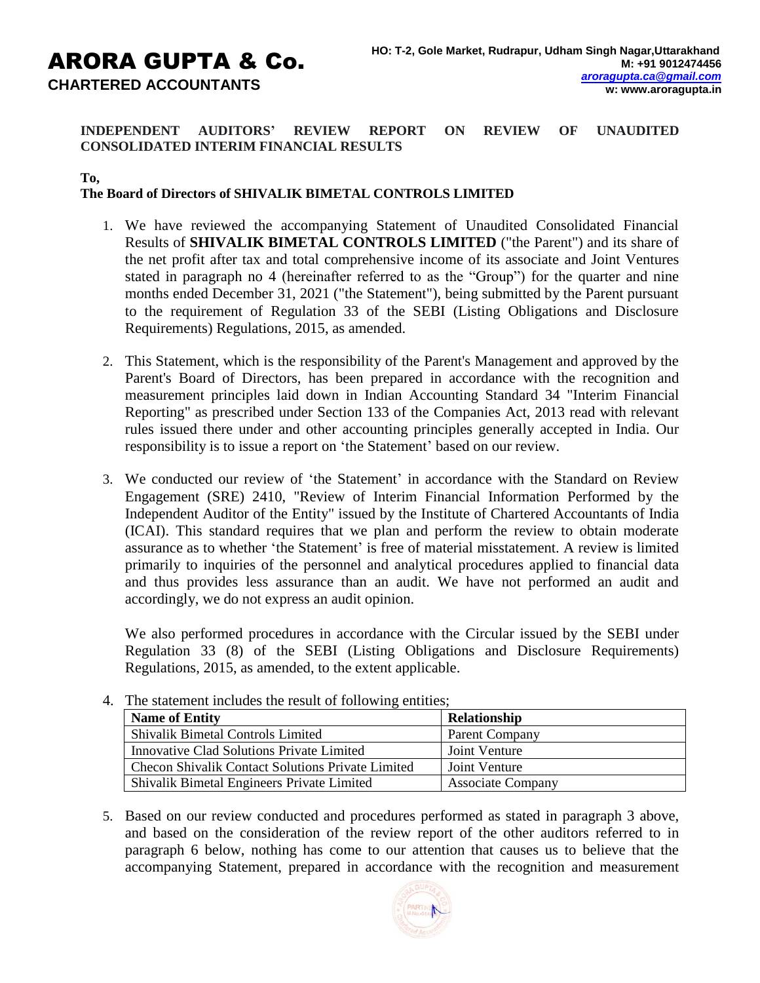# ARORA GUPTA & Co. **CHARTERED ACCOUNTANTS**

**INDEPENDENT AUDITORS' REVIEW REPORT ON REVIEW OF UNAUDITED CONSOLIDATED INTERIM FINANCIAL RESULTS**

**To,**

# **The Board of Directors of SHIVALIK BIMETAL CONTROLS LIMITED**

- 1. We have reviewed the accompanying Statement of Unaudited Consolidated Financial Results of **SHIVALIK BIMETAL CONTROLS LIMITED** ("the Parent") and its share of the net profit after tax and total comprehensive income of its associate and Joint Ventures stated in paragraph no 4 (hereinafter referred to as the "Group") for the quarter and nine months ended December 31, 2021 ("the Statement"), being submitted by the Parent pursuant to the requirement of Regulation 33 of the SEBI (Listing Obligations and Disclosure Requirements) Regulations, 2015, as amended.
- 2. This Statement, which is the responsibility of the Parent's Management and approved by the Parent's Board of Directors, has been prepared in accordance with the recognition and measurement principles laid down in Indian Accounting Standard 34 "Interim Financial Reporting" as prescribed under Section 133 of the Companies Act, 2013 read with relevant rules issued there under and other accounting principles generally accepted in India. Our responsibility is to issue a report on 'the Statement' based on our review.
- 3. We conducted our review of 'the Statement' in accordance with the Standard on Review Engagement (SRE) 2410, "Review of Interim Financial Information Performed by the Independent Auditor of the Entity" issued by the Institute of Chartered Accountants of India (ICAI). This standard requires that we plan and perform the review to obtain moderate assurance as to whether 'the Statement' is free of material misstatement. A review is limited primarily to inquiries of the personnel and analytical procedures applied to financial data and thus provides less assurance than an audit. We have not performed an audit and accordingly, we do not express an audit opinion.

We also performed procedures in accordance with the Circular issued by the SEBI under Regulation 33 (8) of the SEBI (Listing Obligations and Disclosure Requirements) Regulations, 2015, as amended, to the extent applicable.

| <u> 1888 - 1988 - 1988 - 1988 - 1988 - 1988 - 1988 - 1988 - 1988 - 1988 - 1988 - 1988 - 1988 - 1988 - 1988 - 198</u> |                          |  |  |  |  |  |
|----------------------------------------------------------------------------------------------------------------------|--------------------------|--|--|--|--|--|
| <b>Name of Entity</b>                                                                                                | Relationship             |  |  |  |  |  |
| <b>Shivalik Bimetal Controls Limited</b>                                                                             | Parent Company           |  |  |  |  |  |
| Innovative Clad Solutions Private Limited                                                                            | Joint Venture            |  |  |  |  |  |
| <b>Checon Shivalik Contact Solutions Private Limited</b>                                                             | Joint Venture            |  |  |  |  |  |
| Shivalik Bimetal Engineers Private Limited                                                                           | <b>Associate Company</b> |  |  |  |  |  |

4. The statement includes the result of following entities;

5. Based on our review conducted and procedures performed as stated in paragraph 3 above, and based on the consideration of the review report of the other auditors referred to in paragraph 6 below, nothing has come to our attention that causes us to believe that the accompanying Statement, prepared in accordance with the recognition and measurement

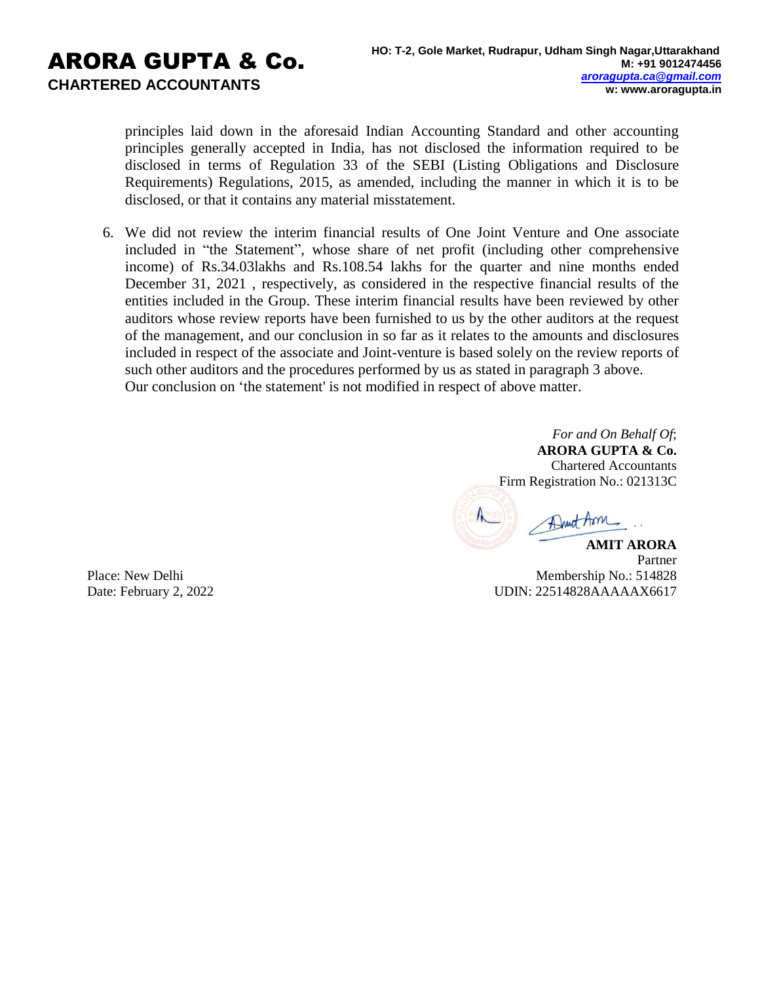principles laid down in the aforesaid Indian Accounting Standard and other accounting principles generally accepted in India, has not disclosed the information required to be disclosed in terms of Regulation 33 of the SEBI (Listing Obligations and Disclosure Requirements) Regulations, 2015, as amended, including the manner in which it is to be disclosed, or that it contains any material misstatement.

6. We did not review the interim financial results of One Joint Venture and One associate included in "the Statement", whose share of net profit (including other comprehensive income) of Rs.34.03lakhs and Rs.108.54 lakhs for the quarter and nine months ended December 31, 2021 , respectively, as considered in the respective financial results of the entities included in the Group. These interim financial results have been reviewed by other auditors whose review reports have been furnished to us by the other auditors at the request of the management, and our conclusion in so far as it relates to the amounts and disclosures included in respect of the associate and Joint-venture is based solely on the review reports of such other auditors and the procedures performed by us as stated in paragraph 3 above. Our conclusion on 'the statement' is not modified in respect of above matter.

> *For and On Behalf Of*; **ARORA GUPTA & Co.** Chartered Accountants Firm Registration No.: 021313C

Dunt Arm

Place: New Delhi Date: February 2, 2022

**AMIT ARORA** Partner Membership No.: 514828 UDIN: 22514828AAAAAX6617